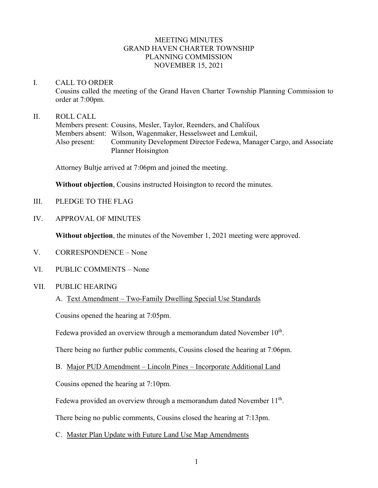## MEETING MINUTES GRAND HAVEN CHARTER TOWNSHIP PLANNING COMMISSION NOVEMBER 15, 2021

#### I. CALL TO ORDER

Cousins called the meeting of the Grand Haven Charter Township Planning Commission to order at 7:00pm.

#### II. ROLL CALL

Members present: Cousins, Mesler, Taylor, Reenders, and Chalifoux Members absent: Wilson, Wagenmaker, Hesselsweet and Lemkuil, Also present: Community Development Director Fedewa, Manager Cargo, and Associate Planner Hoisington

Attorney Bultje arrived at 7:06pm and joined the meeting.

**Without objection**, Cousins instructed Hoisington to record the minutes.

- III. PLEDGE TO THE FLAG
- IV. APPROVAL OF MINUTES

**Without objection**, the minutes of the November 1, 2021 meeting were approved.

- V. CORRESPONDENCE None
- VI. PUBLIC COMMENTS None
- VII. PUBLIC HEARING
	- A. Text Amendment Two-Family Dwelling Special Use Standards

Cousins opened the hearing at 7:05pm.

Fedewa provided an overview through a memorandum dated November  $10<sup>th</sup>$ .

There being no further public comments, Cousins closed the hearing at 7:06pm.

B. Major PUD Amendment – Lincoln Pines – Incorporate Additional Land

Cousins opened the hearing at 7:10pm.

Fedewa provided an overview through a memorandum dated November  $11<sup>th</sup>$ .

There being no public comments, Cousins closed the hearing at 7:13pm.

C. Master Plan Update with Future Land Use Map Amendments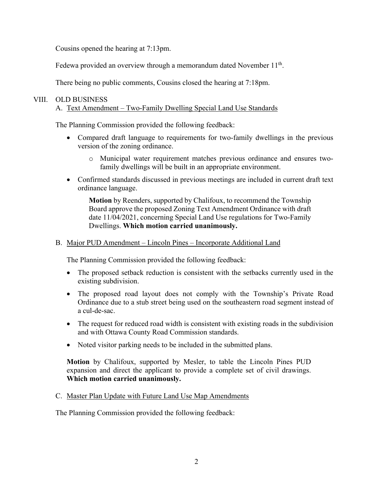Cousins opened the hearing at 7:13pm.

Fedewa provided an overview through a memorandum dated November  $11<sup>th</sup>$ .

There being no public comments, Cousins closed the hearing at 7:18pm.

## VIII. OLD BUSINESS

## A. Text Amendment – Two-Family Dwelling Special Land Use Standards

The Planning Commission provided the following feedback:

- Compared draft language to requirements for two-family dwellings in the previous version of the zoning ordinance.
	- o Municipal water requirement matches previous ordinance and ensures twofamily dwellings will be built in an appropriate environment.
- Confirmed standards discussed in previous meetings are included in current draft text ordinance language.

**Motion** by Reenders, supported by Chalifoux, to recommend the Township Board approve the proposed Zoning Text Amendment Ordinance with draft date 11/04/2021, concerning Special Land Use regulations for Two-Family Dwellings. **Which motion carried unanimously.**

## B. Major PUD Amendment – Lincoln Pines – Incorporate Additional Land

The Planning Commission provided the following feedback:

- The proposed setback reduction is consistent with the setbacks currently used in the existing subdivision.
- The proposed road layout does not comply with the Township's Private Road Ordinance due to a stub street being used on the southeastern road segment instead of a cul-de-sac.
- The request for reduced road width is consistent with existing roads in the subdivision and with Ottawa County Road Commission standards.
- Noted visitor parking needs to be included in the submitted plans.

**Motion** by Chalifoux, supported by Mesler, to table the Lincoln Pines PUD expansion and direct the applicant to provide a complete set of civil drawings. **Which motion carried unanimously.**

C. Master Plan Update with Future Land Use Map Amendments

The Planning Commission provided the following feedback: